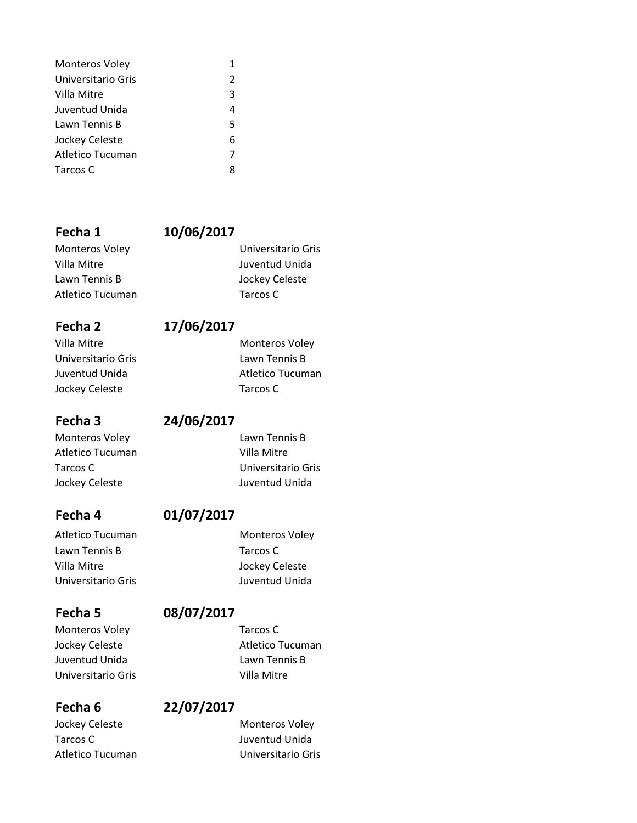| <b>Monteros Voley</b> |   |
|-----------------------|---|
| Universitario Gris    | 2 |
| Villa Mitre           | 3 |
| Juventud Unida        | 4 |
| Lawn Tennis B         | 5 |
| Jockey Celeste        | 6 |
| Atletico Tucuman      | 7 |
| Tarcos C              | 8 |

## **Fecha 1 10/06/2017**

Monteros Voley Universitario Gris Villa Mitre **Villa Mitre Juventud Unida** Lawn Tennis B Jockey Celeste Atletico Tucuman Tarcos C

## **Fecha 2 17/06/2017**

Villa Mitre **Monteros** Voley Universitario Gris Lawn Tennis B Juventud Unida **Atletico Tucuman** Jockey Celeste Tarcos C

# **Fecha 3 24/06/2017**

Monteros Voley **Lawn Tennis B** Atletico Tucuman Villa Mitre

# Tarcos C Universitario Gris Jockey Celeste **Manual Accord Contract Contract Contract Contract Contract Contract On Accord Contract Contract Contract On Accord Contract Juventud Unida**

# **Fecha 4 01/07/2017**

Atletico Tucuman Monteros Voley Lawn Tennis B Tarcos C Villa Mitre **Villa Mitre Jockey Celeste** Universitario Gris Juventud Unida

## **Fecha 5 08/07/2017**

Monteros Voley **Tarcos C** Juventud Unida Lawn Tennis B Universitario Gris **Villa Mitre** 

Jockey Celeste **Monteros** Voley Tarcos C<br>
Juventud Unida

Jockey Celeste **Atletico Tucuman** 

## **Fecha 6 22/07/2017**

Atletico Tucuman **National Component Contract Contract Contract Contract Contract Contract Contract Contract Co**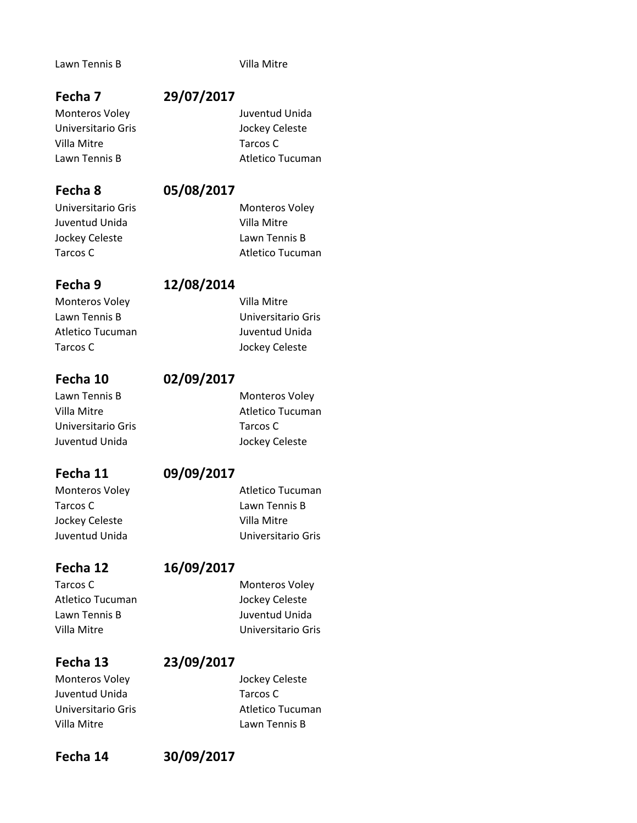### Lawn Tennis B Villa Mitre

### **Fecha 7 29/07/2017**

Monteros Voley **Monteros** Voley **Access** Juventud Unida Universitario Gris Jockey Celeste Villa Mitre Tarcos C Lawn Tennis B and the Catalogue of Atletico Tucuman

### **Fecha 8 05/08/2017**

Universitario Gris Monteros Voley Juventud Unida Villa Mitre

### **Fecha 9 12/08/2014**

# Monteros Voley **Villa Mitre** Atletico Tucuman Juventud Unida Tarcos C **Jockey Celeste**

### **Fecha 10 02/09/2017**

Lawn Tennis B Monteros Voley Universitario Gris Tarcos C Juventud Unida Jockey Celeste

### **Fecha 11 09/09/2017**

# Monteros Voley **Atletico Tucuman** Tarcos C Lawn Tennis B Jockey Celeste **Villa Mitre**

Tarcos C Monteros Voley

# **Fecha 12 16/09/2017**

Villa Mitre **Villa Mitre** Villa Mitre

# Monteros Voley **CELET CONTERNATION** Jockey Celeste Juventud Unida Tarcos C Villa Mitre Lawn Tennis B

# **Fecha 13 23/09/2017**

Universitario Gris **Atletico Tucuman** 

## **Fecha 14 30/09/2017**

Jockey Celeste Lawn Tennis B Tarcos C **Atletico Tucuman** 

Lawn Tennis B **Universitario Gris** 

Villa Mitre **Atletico Tucuman** 

Juventud Unida Universitario Gris

Atletico Tucuman Jockey Celeste Lawn Tennis B Juventud Unida